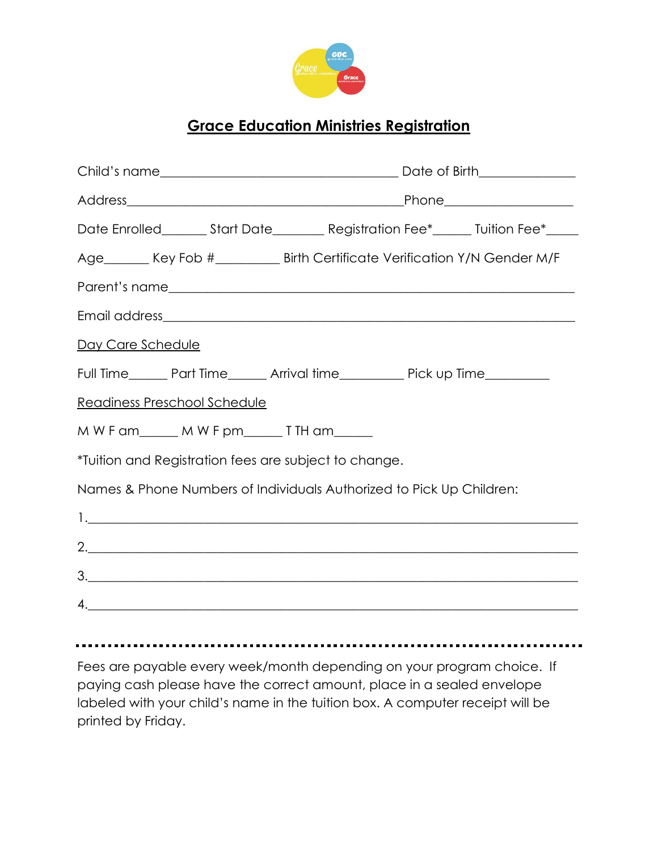

## **Grace Education Ministries Registration**

| Date Enrolled________Start Date___________ Registration Fee*_______ Tuition Fee*_____ |  |  |
|---------------------------------------------------------------------------------------|--|--|
| Age_______ Key Fob #__________ Birth Certificate Verification Y/N Gender M/F          |  |  |
|                                                                                       |  |  |
|                                                                                       |  |  |
| Day Care Schedule                                                                     |  |  |
| Full Time_______ Part Time_______ Arrival time___________ Pick up Time__________      |  |  |
| Readiness Preschool Schedule                                                          |  |  |
| MWFam_____MWFpm____TTHam____                                                          |  |  |
| *Tuition and Registration fees are subject to change.                                 |  |  |
| Names & Phone Numbers of Individuals Authorized to Pick Up Children:                  |  |  |
|                                                                                       |  |  |
| 2.                                                                                    |  |  |
| 3.                                                                                    |  |  |
| 4.                                                                                    |  |  |
|                                                                                       |  |  |

Fees are payable every week/month depending on your program choice. If paying cash please have the correct amount, place in a sealed envelope labeled with your child's name in the tuition box. A computer receipt will be printed by Friday.